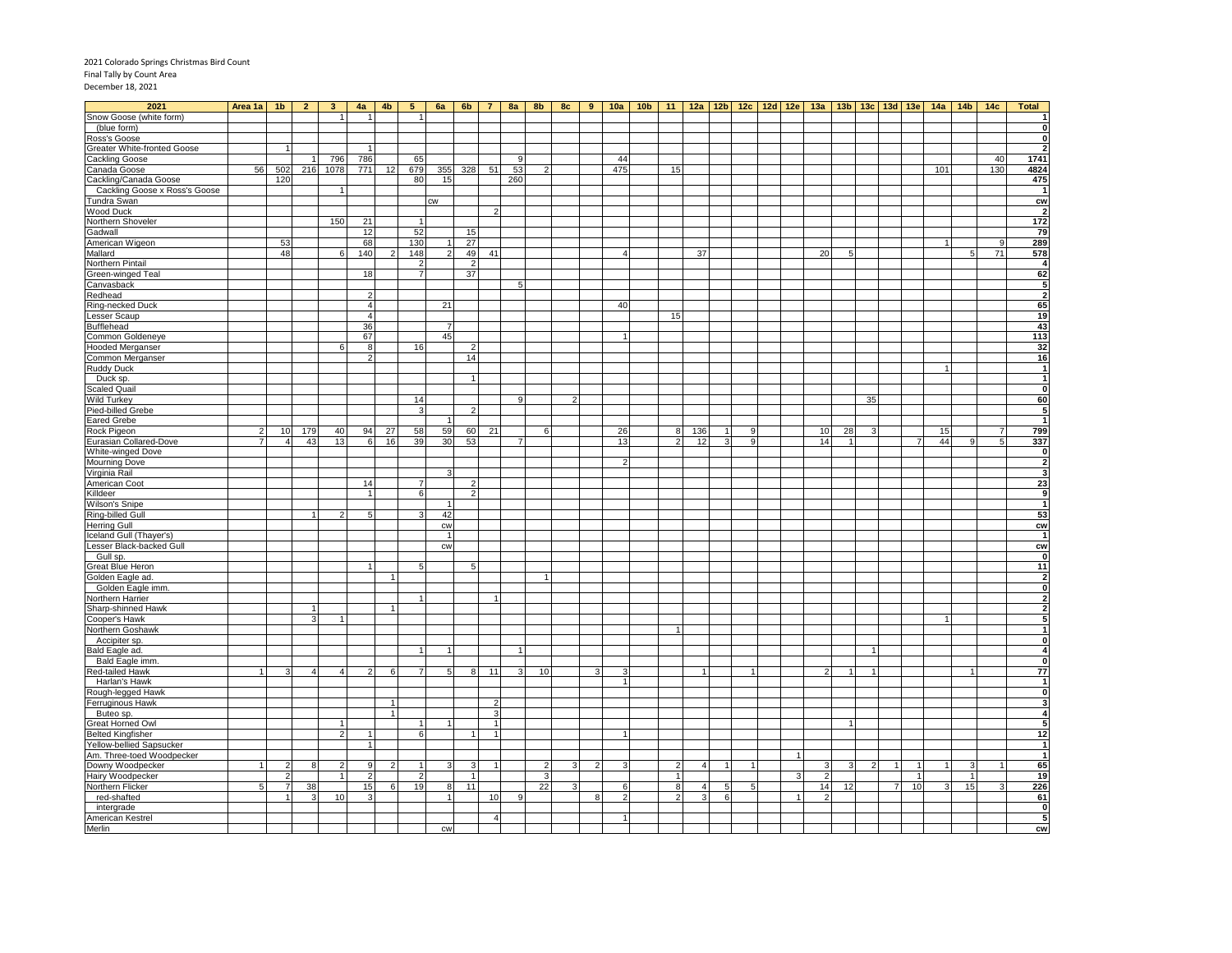# 2021 Colorado Springs Christmas Bird Count Final Tally by Count Area December 18, 2021

| 2021                          | Area 1a        | 1 <sub>b</sub> | $\overline{2}$ | 3 <sup>2</sup> | 4a                   | 4 <sub>b</sub> | 5 <sub>1</sub>  | 6a             | 6b             | 7 <sup>1</sup> |                | $8a$ 8b | 8c | 9 <sup>1</sup> |                       | <u>10a   10b   11   12a   12b   12c   12d   12e   13a   13b   13c   13d   13e   14a   14b   14c  </u> |               |     |   |    |   |                 |                      |    |                |                 |          |                |              | <b>Total</b>                              |
|-------------------------------|----------------|----------------|----------------|----------------|----------------------|----------------|-----------------|----------------|----------------|----------------|----------------|---------|----|----------------|-----------------------|-------------------------------------------------------------------------------------------------------|---------------|-----|---|----|---|-----------------|----------------------|----|----------------|-----------------|----------|----------------|--------------|-------------------------------------------|
| Snow Goose (white form)       |                |                |                |                | $\overline{1}$       |                | 1               |                |                |                |                |         |    |                |                       |                                                                                                       |               |     |   |    |   |                 |                      |    |                |                 |          |                |              |                                           |
| (blue form)                   |                |                |                |                |                      |                |                 |                |                |                |                |         |    |                |                       |                                                                                                       |               |     |   |    |   |                 |                      |    |                |                 |          |                |              | $\mathbf 0$                               |
| Ross's Goose                  |                |                |                |                |                      |                |                 |                |                |                |                |         |    |                |                       |                                                                                                       |               |     |   |    |   |                 |                      |    |                |                 |          |                |              | $\mathbf 0$                               |
| Greater White-fronted Goose   |                | $\overline{1}$ |                |                |                      |                |                 |                |                |                |                |         |    |                |                       |                                                                                                       |               |     |   |    |   |                 |                      |    |                |                 |          |                |              | $\overline{\mathbf{2}}$                   |
| <b>Cackling Goose</b>         |                |                |                | 796            | 786                  |                | 65              |                |                |                | 9              |         |    |                | 44                    |                                                                                                       |               |     |   |    |   |                 |                      |    |                |                 |          |                | 40           | 1741                                      |
| Canada Goose                  | 56             | 502            | 216            | 1078           | 771                  | 12             | 679             | 355            | 328            | 51             | 53             | -2      |    |                | 475                   |                                                                                                       | 15            |     |   |    |   |                 |                      |    |                |                 | 101      |                | 130          | 4824                                      |
| Cackling/Canada Goose         |                | 120            |                |                |                      |                | 80              | 15             |                |                | 260            |         |    |                |                       |                                                                                                       |               |     |   |    |   |                 |                      |    |                |                 |          |                |              | 475                                       |
| Cackling Goose x Ross's Goose |                |                |                |                |                      |                |                 |                |                |                |                |         |    |                |                       |                                                                                                       |               |     |   |    |   |                 |                      |    |                |                 |          |                |              | -1                                        |
| Tundra Swan                   |                |                |                |                |                      |                |                 | <b>CW</b>      |                |                |                |         |    |                |                       |                                                                                                       |               |     |   |    |   |                 |                      |    |                |                 |          |                |              | cw                                        |
| Wood Duck                     |                |                |                |                |                      |                | $\mathbf{1}$    |                |                |                |                |         |    |                |                       |                                                                                                       |               |     |   |    |   |                 |                      |    |                |                 |          |                |              | $\overline{2}$<br>172                     |
| Northern Shoveler             |                |                |                | 150            | 21                   |                |                 |                |                |                |                |         |    |                |                       |                                                                                                       |               |     |   |    |   |                 |                      |    |                |                 |          |                |              |                                           |
| Gadwall                       |                | 53             |                |                | 12<br>68             |                | 52<br>130       | 11             | 15<br>27       |                |                |         |    |                |                       |                                                                                                       |               |     |   |    |   |                 |                      |    |                |                 |          |                | $\mathbf{q}$ | 79<br>289                                 |
| American Wigeon<br>Mallard    |                | 48             |                | ĥ              | 140                  |                | 148             | $\overline{2}$ | 49             | 41             |                |         |    |                | $\boldsymbol{\Delta}$ |                                                                                                       |               | 37  |   |    |   | 20              | 5                    |    |                |                 |          | 5              | 71           | 578                                       |
| Northern Pintail              |                |                |                |                |                      |                | $\overline{2}$  |                | $\overline{2}$ |                |                |         |    |                |                       |                                                                                                       |               |     |   |    |   |                 |                      |    |                |                 |          |                |              | $\overline{4}$                            |
| Green-winged Teal             |                |                |                |                | 18                   |                | 7               |                | 37             |                |                |         |    |                |                       |                                                                                                       |               |     |   |    |   |                 |                      |    |                |                 |          |                |              | 62                                        |
| Canvasback                    |                |                |                |                |                      |                |                 |                |                |                | 5              |         |    |                |                       |                                                                                                       |               |     |   |    |   |                 |                      |    |                |                 |          |                |              | 5                                         |
| Redhead                       |                |                |                |                | 2                    |                |                 |                |                |                |                |         |    |                |                       |                                                                                                       |               |     |   |    |   |                 |                      |    |                |                 |          |                |              | $\overline{2}$                            |
| Ring-necked Duck              |                |                |                |                | 4                    |                |                 | 21             |                |                |                |         |    |                | 40                    |                                                                                                       |               |     |   |    |   |                 |                      |    |                |                 |          |                |              | 65                                        |
| Lesser Scaup                  |                |                |                |                | $\overline{4}$       |                |                 |                |                |                |                |         |    |                |                       |                                                                                                       | 15            |     |   |    |   |                 |                      |    |                |                 |          |                |              | 19                                        |
| Bufflehead                    |                |                |                |                | 36                   |                |                 | $\overline{7}$ |                |                |                |         |    |                |                       |                                                                                                       |               |     |   |    |   |                 |                      |    |                |                 |          |                |              | 43                                        |
|                               |                |                |                |                | 67                   |                |                 | 45             |                |                |                |         |    |                |                       |                                                                                                       |               |     |   |    |   |                 |                      |    |                |                 |          |                |              |                                           |
| Common Goldeneye              |                |                |                | 6              | 8                    |                | 16              |                | 2              |                |                |         |    |                |                       |                                                                                                       |               |     |   |    |   |                 |                      |    |                |                 |          |                |              | 113<br>32                                 |
| Hooded Merganser              |                |                |                |                | $\overline{2}$       |                |                 |                | 14             |                |                |         |    |                |                       |                                                                                                       |               |     |   |    |   |                 |                      |    |                |                 |          |                |              | 16                                        |
| Common Merganser              |                |                |                |                |                      |                |                 |                |                |                |                |         |    |                |                       |                                                                                                       |               |     |   |    |   |                 |                      |    |                |                 |          |                |              | $\overline{1}$                            |
| <b>Ruddy Duck</b>             |                |                |                |                |                      |                |                 |                | $\overline{1}$ |                |                |         |    |                |                       |                                                                                                       |               |     |   |    |   |                 |                      |    |                |                 |          |                |              | $\overline{1}$                            |
| Duck sp.<br>Scaled Quail      |                |                |                |                |                      |                |                 |                |                |                |                |         |    |                |                       |                                                                                                       |               |     |   |    |   |                 |                      |    |                |                 |          |                |              | ō                                         |
|                               |                |                |                |                |                      |                | 14              |                |                |                |                |         |    |                |                       |                                                                                                       |               |     |   |    |   |                 |                      |    |                |                 |          |                |              | 60                                        |
| Wild Turkey                   |                |                |                |                |                      |                |                 |                |                |                | 9              |         |    |                |                       |                                                                                                       |               |     |   |    |   |                 |                      | 35 |                |                 |          |                |              |                                           |
| Pied-billed Grebe             |                |                |                |                |                      |                | 3               |                | $\overline{2}$ |                |                |         |    |                |                       |                                                                                                       |               |     |   |    |   |                 |                      |    |                |                 |          |                |              | 5<br>$\overline{1}$                       |
| <b>Eared Grebe</b>            |                |                |                |                |                      |                |                 | $\overline{1}$ |                |                |                |         |    |                |                       |                                                                                                       |               |     |   |    |   |                 |                      |    |                |                 |          |                |              | 799                                       |
| Rock Pigeon                   | $\overline{2}$ | 10             | 179<br>43      | 40             | 94                   | 27             | 58              | 59             | 60             | 21             | $\overline{7}$ | 6       |    |                | 26                    |                                                                                                       | 8             | 136 | 3 | -9 |   | 10 <sup>1</sup> | 28<br>$\overline{1}$ | 3  |                | $\overline{7}$  | 15<br>44 | $\mathbf{Q}$   | 7<br>5       |                                           |
| Eurasian Collared-Dove        |                | $\overline{4}$ |                | 13             | $6\overline{6}$      | 16             | 39              | 30             | 53             |                |                |         |    |                | 13                    |                                                                                                       |               | 12  |   | 9  |   | 14              |                      |    |                |                 |          |                |              | 337                                       |
| White-winged Dove             |                |                |                |                |                      |                |                 |                |                |                |                |         |    |                |                       |                                                                                                       |               |     |   |    |   |                 |                      |    |                |                 |          |                |              | $\overline{\mathbf{0}}$<br>$\overline{2}$ |
| <b>Mourning Dove</b>          |                |                |                |                |                      |                |                 |                |                |                |                |         |    |                |                       |                                                                                                       |               |     |   |    |   |                 |                      |    |                |                 |          |                |              |                                           |
| Virginia Rail                 |                |                |                |                |                      |                | $\overline{7}$  | 3              |                |                |                |         |    |                |                       |                                                                                                       |               |     |   |    |   |                 |                      |    |                |                 |          |                |              | 3                                         |
| American Coot                 |                |                |                |                | 14<br>$\overline{1}$ |                |                 |                | $\overline{2}$ |                |                |         |    |                |                       |                                                                                                       |               |     |   |    |   |                 |                      |    |                |                 |          |                |              | 23                                        |
| Killdeer                      |                |                |                |                |                      |                | $6\overline{6}$ |                | $\overline{2}$ |                |                |         |    |                |                       |                                                                                                       |               |     |   |    |   |                 |                      |    |                |                 |          |                |              | $\overline{9}$                            |
| <b>Wilson's Snipe</b>         |                |                |                |                |                      |                |                 | $\vert$        |                |                |                |         |    |                |                       |                                                                                                       |               |     |   |    |   |                 |                      |    |                |                 |          |                |              | $\overline{1}$                            |
| Ring-billed Gull              |                |                |                |                | 5                    |                | २               | 42             |                |                |                |         |    |                |                       |                                                                                                       |               |     |   |    |   |                 |                      |    |                |                 |          |                |              | 53                                        |
| <b>Herring Gull</b>           |                |                |                |                |                      |                |                 | cw             |                |                |                |         |    |                |                       |                                                                                                       |               |     |   |    |   |                 |                      |    |                |                 |          |                |              | $c_{W}$                                   |
| Iceland Gull (Thayer's)       |                |                |                |                |                      |                |                 | $\overline{1}$ |                |                |                |         |    |                |                       |                                                                                                       |               |     |   |    |   |                 |                      |    |                |                 |          |                |              | $\overline{1}$                            |
| Lesser Black-backed Gull      |                |                |                |                |                      |                |                 | <b>CW</b>      |                |                |                |         |    |                |                       |                                                                                                       |               |     |   |    |   |                 |                      |    |                |                 |          |                |              | <b>CW</b>                                 |
| Gull sp.                      |                |                |                |                |                      |                |                 |                |                |                |                |         |    |                |                       |                                                                                                       |               |     |   |    |   |                 |                      |    |                |                 |          |                |              | $\mathbf 0$                               |
| Great Blue Heron              |                |                |                |                |                      |                | 5               |                | 5              |                |                |         |    |                |                       |                                                                                                       |               |     |   |    |   |                 |                      |    |                |                 |          |                |              | $\overline{11}$                           |
| Golden Eagle ad.              |                |                |                |                |                      |                |                 |                |                |                |                |         |    |                |                       |                                                                                                       |               |     |   |    |   |                 |                      |    |                |                 |          |                |              | $\overline{\mathbf{2}}$                   |
| Golden Eagle imm.             |                |                |                |                |                      |                |                 |                |                |                |                |         |    |                |                       |                                                                                                       |               |     |   |    |   |                 |                      |    |                |                 |          |                |              | $\mathbf{0}$                              |
| Northern Harrier              |                |                |                |                |                      |                |                 |                |                |                |                |         |    |                |                       |                                                                                                       |               |     |   |    |   |                 |                      |    |                |                 |          |                |              | $\overline{\mathbf{2}}$                   |
| Sharp-shinned Hawk            |                |                |                |                |                      |                |                 |                |                |                |                |         |    |                |                       |                                                                                                       |               |     |   |    |   |                 |                      |    |                |                 |          |                |              | 2                                         |
| Cooper's Hawk                 |                |                | 3              |                |                      |                |                 |                |                |                |                |         |    |                |                       |                                                                                                       |               |     |   |    |   |                 |                      |    |                |                 |          |                |              | 5                                         |
| Northern Goshawk              |                |                |                |                |                      |                |                 |                |                |                |                |         |    |                |                       |                                                                                                       |               |     |   |    |   |                 |                      |    |                |                 |          |                |              | $\overline{\mathbf{1}}$                   |
| Accipiter sp.                 |                |                |                |                |                      |                |                 |                |                |                |                |         |    |                |                       |                                                                                                       |               |     |   |    |   |                 |                      |    |                |                 |          |                |              | $\mathbf{0}$                              |
| Bald Eagle ad.                |                |                |                |                |                      |                |                 |                |                |                |                |         |    |                |                       |                                                                                                       |               |     |   |    |   |                 |                      |    |                |                 |          |                |              | $\overline{4}$                            |
| Bald Eagle imm.               |                |                |                |                |                      |                |                 |                |                |                |                |         |    |                |                       |                                                                                                       |               |     |   |    |   |                 |                      |    |                |                 |          |                |              | $\mathbf 0$                               |
| Red-tailed Hawk               |                |                |                |                | $\overline{2}$       | 6              | $\overline{7}$  | 5              | 8              | 11             | 3              | 10      |    | 3              | Я                     |                                                                                                       |               |     |   |    |   | 2               |                      |    |                |                 |          |                |              | 77                                        |
| Harlan's Hawk                 |                |                |                |                |                      |                |                 |                |                |                |                |         |    |                |                       |                                                                                                       |               |     |   |    |   |                 |                      |    |                |                 |          |                |              | $\mathbf{1}$                              |
| Rough-legged Hawk             |                |                |                |                |                      |                |                 |                |                |                |                |         |    |                |                       |                                                                                                       |               |     |   |    |   |                 |                      |    |                |                 |          |                |              | $\pmb{0}$                                 |
| Ferruginous Hawk              |                |                |                |                |                      | -1             |                 |                |                | 2              |                |         |    |                |                       |                                                                                                       |               |     |   |    |   |                 |                      |    |                |                 |          |                |              | 3                                         |
| Buteo sp.                     |                |                |                |                |                      | $\overline{1}$ |                 |                |                | 3              |                |         |    |                |                       |                                                                                                       |               |     |   |    |   |                 |                      |    |                |                 |          |                |              | $\overline{4}$                            |
| Great Horned Owl              |                |                |                |                |                      |                |                 |                |                | $\overline{1}$ |                |         |    |                |                       |                                                                                                       |               |     |   |    |   |                 |                      |    |                |                 |          |                |              | 5                                         |
| <b>Belted Kingfisher</b>      |                |                |                |                |                      |                | 6               |                |                |                |                |         |    |                |                       |                                                                                                       |               |     |   |    |   |                 |                      |    |                |                 |          |                |              | 12                                        |
| Yellow-bellied Sapsucker      |                |                |                |                |                      |                |                 |                |                |                |                |         |    |                |                       |                                                                                                       |               |     |   |    |   |                 |                      |    |                |                 |          |                |              | $\overline{1}$                            |
| Am. Three-toed Woodpecker     |                |                |                |                |                      |                |                 |                |                |                |                |         |    |                |                       |                                                                                                       |               |     |   |    |   |                 |                      |    |                |                 |          |                |              | $\mathbf{1}$                              |
| Downy Woodpecker              |                |                | 8              |                | q                    |                |                 |                |                |                |                |         |    |                |                       |                                                                                                       |               | 4   |   |    |   |                 |                      |    |                | $\mathbf{1}$    |          | 3              |              | 65                                        |
| Hairy Woodpecker              |                | $\overline{2}$ |                |                | $\mathcal{P}$        |                | $\overline{2}$  |                |                |                |                | 3       |    |                |                       |                                                                                                       |               |     |   |    | з | $\mathcal{P}$   |                      |    |                | $\mathbf{1}$    |          | $\overline{1}$ |              | 19                                        |
| Northern Flicker              | 5              | $\overline{7}$ | 38             |                | 15                   | 6              | 19              | 8              | 11             |                |                | 22      |    |                | 6                     |                                                                                                       | 8             | 4   | 5 | 5  |   | 14              | 12                   |    | $\overline{7}$ | 10 <sup>1</sup> |          | 15             |              | 226                                       |
| red-shafted                   |                | $\overline{1}$ | 3              | 10             | 3                    |                |                 | $\overline{1}$ |                | 10             | <b>q</b>       |         |    | 8              | 2                     |                                                                                                       | $\mathcal{D}$ | 3   | 6 |    |   | $\mathcal{P}$   |                      |    |                |                 |          |                |              | 61                                        |
| intergrade                    |                |                |                |                |                      |                |                 |                |                |                |                |         |    |                |                       |                                                                                                       |               |     |   |    |   |                 |                      |    |                |                 |          |                |              | ō                                         |
| American Kestrel              |                |                |                |                |                      |                |                 |                |                | $\overline{4}$ |                |         |    |                |                       |                                                                                                       |               |     |   |    |   |                 |                      |    |                |                 |          |                |              | 5                                         |
| Merlin                        |                |                |                |                |                      |                |                 | <b>CW</b>      |                |                |                |         |    |                |                       |                                                                                                       |               |     |   |    |   |                 |                      |    |                |                 |          |                |              | cw                                        |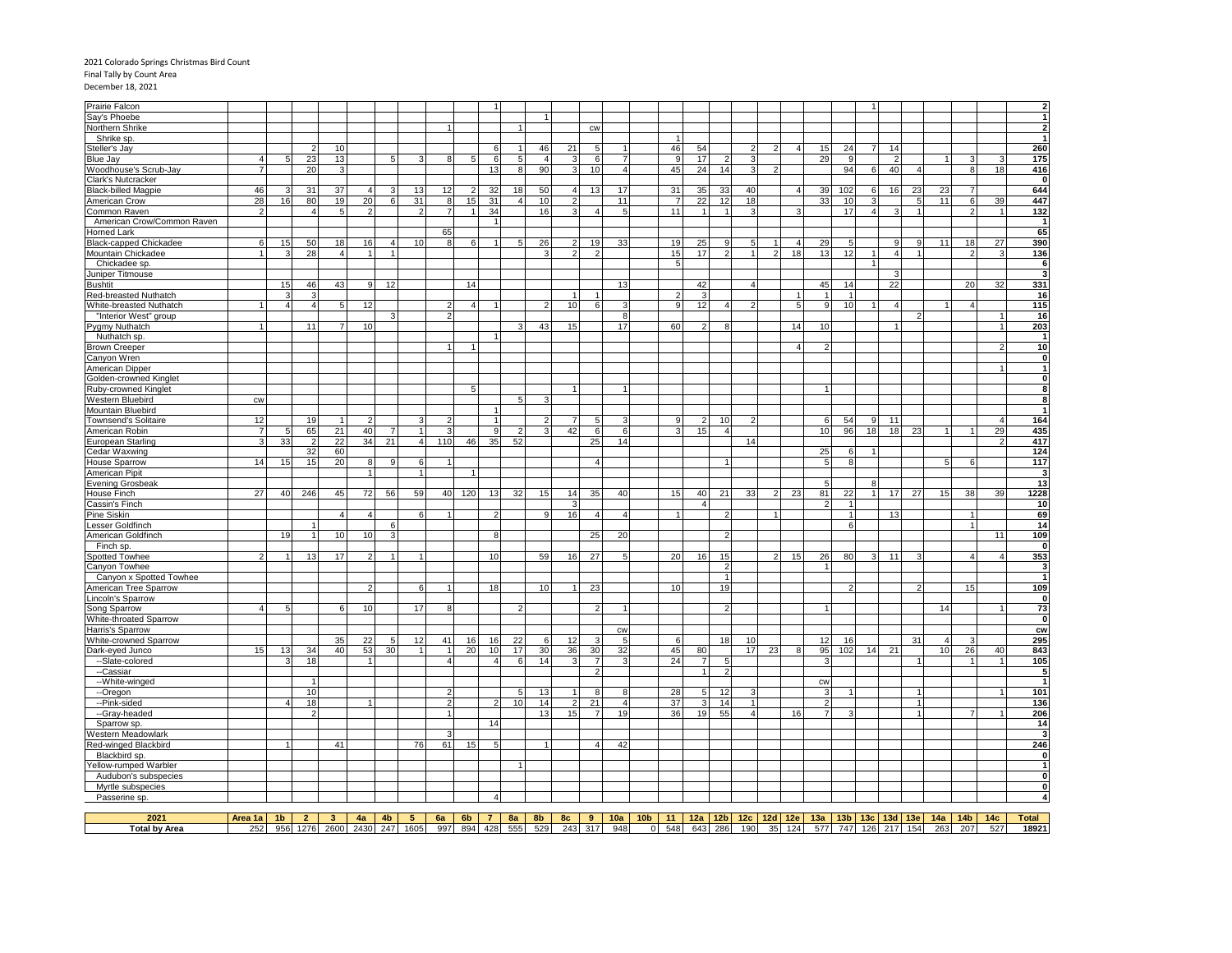# 2021 Colorado Springs Christmas Bird Count Final Tally by Count Area December 18, 2021

| Prairie Falcon                                |                     |                        |                |                |               |                 |                |                      |     |                |                          |                      |                 |                                  |                       |                 |                |          |                      |                        |                |                       |                                   |                |                      |                       |                |                        |                 |                      | $\overline{\mathbf{2}}$                            |
|-----------------------------------------------|---------------------|------------------------|----------------|----------------|---------------|-----------------|----------------|----------------------|-----|----------------|--------------------------|----------------------|-----------------|----------------------------------|-----------------------|-----------------|----------------|----------|----------------------|------------------------|----------------|-----------------------|-----------------------------------|----------------|----------------------|-----------------------|----------------|------------------------|-----------------|----------------------|----------------------------------------------------|
| Say's Phoebe                                  |                     |                        |                |                |               |                 |                |                      |     |                |                          |                      |                 |                                  |                       |                 |                |          |                      |                        |                |                       |                                   |                |                      |                       |                |                        |                 |                      | $\overline{\mathbf{1}}$                            |
| Northern Shrike                               |                     |                        |                |                |               |                 |                | $\mathbf{1}$         |     |                |                          |                      |                 | CW                               |                       |                 |                |          |                      |                        |                |                       |                                   |                |                      |                       |                |                        |                 |                      | $\overline{2}$                                     |
| Shrike sp.                                    |                     |                        |                |                |               |                 |                |                      |     |                |                          |                      |                 |                                  |                       |                 |                |          |                      |                        |                |                       |                                   |                |                      |                       |                |                        |                 |                      | -1                                                 |
| Steller's Jay                                 |                     |                        |                | 10             |               |                 |                |                      |     | 6              |                          | 46                   | 21              | 5                                |                       |                 | 46             | 54       |                      | 2                      | $\mathcal{P}$  | $\overline{4}$        | 15                                | 24             |                      | 14<br>$\overline{2}$  |                |                        |                 |                      | 260                                                |
| <b>Blue Jay</b><br>Woodhouse's Scrub-Jay      | 4<br>$\overline{7}$ |                        | 23<br>20       | 13<br>3        |               | 5               |                | 8                    | -5  | 6<br>13        | 5<br>8                   | $\overline{4}$<br>90 | 3<br>3          | 6<br>10                          | $\overline{a}$        |                 | 9<br>45        | 17<br>24 | 14                   | 3<br>3                 | 2              |                       | 29                                | 9<br>94        | $6 \mid$             | 40                    | $\overline{4}$ |                        | 8               | 3<br>18              | 175<br>416                                         |
| Clark's Nutcracker                            |                     |                        |                |                |               |                 |                |                      |     |                |                          |                      |                 |                                  |                       |                 |                |          |                      |                        |                |                       |                                   |                |                      |                       |                |                        |                 |                      | $\overline{0}$                                     |
| <b>Black-billed Magpie</b>                    | 46                  |                        | 31             | 37             |               |                 | 13             | 12                   |     | 32             | 18                       | 50                   |                 | 13                               | 17                    |                 | 31             | 35       | 33                   | 40                     |                | $\boldsymbol{\Delta}$ | 39                                | 102            | 6                    | 16                    | 23             | 23                     | $\overline{7}$  |                      | 644                                                |
| American Crow                                 | 28                  | 16                     | 80             | 19             | 20            | 6               | 31             | 8                    | 15  | 31             | $\boldsymbol{\Delta}$    | 10                   |                 |                                  | 11                    |                 |                | 22       | 12                   | 18                     |                |                       | 33                                | 10             | 3                    |                       | 5              | 11                     | 6               | 39                   | 447                                                |
| Common Raven                                  |                     |                        | $\Delta$       | 5              | $\mathcal{P}$ |                 | $\mathcal{P}$  | $\overline{7}$       |     | 34             |                          | 16                   |                 |                                  |                       |                 | 11             |          |                      |                        |                | ٩                     |                                   | 17             | 4 <sup>1</sup>       | ß                     | $\mathbf{1}$   |                        | $\overline{2}$  |                      | 132                                                |
| American Crow/Common Raven                    |                     |                        |                |                |               |                 |                |                      |     |                |                          |                      |                 |                                  |                       |                 |                |          |                      |                        |                |                       |                                   |                |                      |                       |                |                        |                 |                      | $\overline{1}$                                     |
| Horned Lark                                   |                     |                        |                |                |               |                 |                | 65                   |     |                |                          |                      |                 |                                  |                       |                 |                |          |                      |                        |                |                       |                                   |                |                      |                       |                |                        |                 |                      | 65                                                 |
| Black-capped Chickadee                        | 6                   | 15                     | 50             | 18             | 16            | $\overline{4}$  | 10             | 8                    | 6   |                |                          | 26                   | $\overline{2}$  | 19                               | 33                    |                 | 19             | 25       | Q                    |                        |                | $\overline{4}$        | 29                                | 5              |                      | 9                     | 9              | 11                     | 18              | 27                   | 390                                                |
| Mountain Chickadee                            |                     |                        | 28             | 4 <sup>1</sup> |               |                 |                |                      |     |                |                          | 3                    | $\mathcal{P}$   | $\mathcal{D}$                    |                       |                 | 15             | 17       |                      |                        | $\overline{2}$ | 18                    | 13                                | 12             |                      | $\overline{4}$        | $\mathbf{1}$   |                        | $\mathcal{D}$   | 3                    | 136                                                |
| Chickadee sp.                                 |                     |                        |                |                |               |                 |                |                      |     |                |                          |                      |                 |                                  |                       |                 | 5              |          |                      |                        |                |                       |                                   |                |                      |                       |                |                        |                 |                      | $\overline{\phantom{a}}$                           |
| Juniper Titmouse                              |                     |                        |                |                |               |                 |                |                      |     |                |                          |                      |                 |                                  |                       |                 |                |          |                      |                        |                |                       |                                   |                |                      | 3                     |                |                        |                 |                      | $\overline{\mathbf{3}}$                            |
| <b>Bushtit</b>                                |                     | 15                     | 46             | 43             | 9             | 12              |                |                      | 14  |                |                          |                      |                 |                                  | 13                    |                 |                | 42       |                      |                        |                |                       | 45                                | 14             |                      | 22                    |                |                        | 20              | 32                   | 331                                                |
| Red-breasted Nuthatch                         |                     |                        |                |                |               |                 |                |                      |     |                |                          |                      |                 |                                  |                       |                 | $\overline{2}$ | з        |                      |                        |                | -1                    |                                   | $\overline{1}$ |                      |                       |                |                        |                 |                      | 16                                                 |
| White-breasted Nuthatch                       |                     | $\boldsymbol{\Lambda}$ | $\overline{a}$ | 5              | 12            |                 |                | 2                    | 4   |                |                          | 2                    | 10 <sup>1</sup> | 6                                |                       |                 | 9              | 12       |                      |                        |                | 5                     | 9                                 | 10             |                      | 4                     |                |                        | $\overline{4}$  |                      | 115                                                |
| "Interior West" group                         |                     |                        |                |                |               |                 |                | $\mathcal{P}$        |     |                |                          |                      |                 |                                  | 8                     |                 |                |          |                      |                        |                |                       |                                   |                |                      |                       | $\mathcal{P}$  |                        |                 |                      | 16                                                 |
| Pygmy Nuthatch                                |                     |                        | 11             |                | 10            |                 |                |                      |     |                |                          | 43                   | 15              |                                  | 17                    |                 | 60             |          |                      |                        |                | 14                    | 10                                |                |                      |                       |                |                        |                 |                      | 203                                                |
| Nuthatch sp.                                  |                     |                        |                |                |               |                 |                |                      |     |                |                          |                      |                 |                                  |                       |                 |                |          |                      |                        |                |                       |                                   |                |                      |                       |                |                        |                 |                      | $\overline{1}$                                     |
| <b>Brown Creeper</b>                          |                     |                        |                |                |               |                 |                | $\blacktriangleleft$ |     |                |                          |                      |                 |                                  |                       |                 |                |          |                      |                        |                | $\overline{A}$        |                                   |                |                      |                       |                |                        |                 |                      | 10                                                 |
| Canyon Wren                                   |                     |                        |                |                |               |                 |                |                      |     |                |                          |                      |                 |                                  |                       |                 |                |          |                      |                        |                |                       |                                   |                |                      |                       |                |                        |                 |                      | $\pmb{0}$                                          |
| American Dipper                               |                     |                        |                |                |               |                 |                |                      |     |                |                          |                      |                 |                                  |                       |                 |                |          |                      |                        |                |                       |                                   |                |                      |                       |                |                        |                 |                      | $\mathbf{1}$                                       |
| Golden-crowned Kinglet                        |                     |                        |                |                |               |                 |                |                      |     |                |                          |                      |                 |                                  |                       |                 |                |          |                      |                        |                |                       |                                   |                |                      |                       |                |                        |                 |                      | $\overline{\mathbf{0}}$<br>$\overline{\mathbf{8}}$ |
| <b>Ruby-crowned Kinglet</b>                   |                     |                        |                |                |               |                 |                |                      | 5   |                | 5                        | 3                    |                 |                                  |                       |                 |                |          |                      |                        |                |                       |                                   |                |                      |                       |                |                        |                 |                      |                                                    |
| <b>Western Bluebird</b>                       | <b>CW</b>           |                        |                |                |               |                 |                |                      |     |                |                          |                      |                 |                                  |                       |                 |                |          |                      |                        |                |                       |                                   |                |                      |                       |                |                        |                 |                      | 8<br>$\overline{\mathbf{1}}$                       |
| Mountain Bluebird                             |                     |                        |                |                |               |                 |                | 2                    |     |                |                          | 2                    |                 |                                  |                       |                 |                |          |                      |                        |                |                       |                                   |                |                      |                       |                |                        |                 |                      | 164                                                |
| <b>Townsend's Solitaire</b><br>American Robin | 12                  | 5                      | 19<br>65       | 21             | 40            |                 |                | 3                    |     | 9              | $\overline{\phantom{a}}$ | 3                    | 42              | 5<br>6                           | 6                     |                 |                | 15       | 10<br>$\overline{4}$ |                        |                |                       | 6<br>10                           | 54<br>96       | 9 <sub>l</sub><br>18 | 11<br>18              | 23             |                        |                 | $\overline{4}$<br>29 | 435                                                |
| <b>European Starling</b>                      |                     | 33                     |                | 22             | 34            | 21              | $\overline{4}$ | 110                  | 46  | 35             | 52                       |                      |                 | 25                               | 14                    |                 |                |          |                      |                        |                |                       |                                   |                |                      |                       |                |                        |                 | $\overline{2}$       | 417                                                |
| <b>Cedar Waxwing</b>                          |                     |                        | 32             | 60             |               |                 |                |                      |     |                |                          |                      |                 |                                  |                       |                 |                |          |                      | 14                     |                |                       | 25                                | 6              |                      |                       |                |                        |                 |                      | 124                                                |
| <b>House Sparrow</b>                          | 14                  | 15                     | 15             | 20             | 8             | 9               | 6              | $\mathbf{1}$         |     |                |                          |                      |                 | $\overline{4}$                   |                       |                 |                |          |                      |                        |                |                       | 5                                 | 8              |                      |                       |                |                        | 6               |                      | $117$                                              |
| American Pipit                                |                     |                        |                |                |               |                 |                |                      |     |                |                          |                      |                 |                                  |                       |                 |                |          |                      |                        |                |                       |                                   |                |                      |                       |                |                        |                 |                      | 3                                                  |
| <b>Evening Grosbeak</b>                       |                     |                        |                |                |               |                 |                |                      |     |                |                          |                      |                 |                                  |                       |                 |                |          |                      |                        |                |                       |                                   |                |                      |                       |                |                        |                 |                      | 13                                                 |
| <b>House Finch</b>                            | 27                  | 40                     | 246            | 45             | 72            | 56              | 59             | 40                   | 120 | 13             | 32                       | 15                   | 14              | 35                               | 40                    |                 | 15             | 40       | 21                   | 33                     |                | 23                    | 81                                | 22             |                      | 17                    | 27             | 15                     | 38              | 39                   | 1228                                               |
| Cassin's Finch                                |                     |                        |                |                |               |                 |                |                      |     |                |                          |                      |                 |                                  |                       |                 |                |          |                      |                        |                |                       |                                   | $\overline{1}$ |                      |                       |                |                        |                 |                      | 10                                                 |
| Pine Siskin                                   |                     |                        |                | $\Delta$       | 4             |                 | 6              |                      |     |                |                          | 9                    | 16              |                                  |                       |                 |                |          |                      |                        |                |                       |                                   |                |                      | 13                    |                |                        |                 |                      | 69                                                 |
| Lesser Goldfinch                              |                     |                        |                |                |               | 6               |                |                      |     |                |                          |                      |                 |                                  |                       |                 |                |          |                      |                        |                |                       |                                   | 6              |                      |                       |                |                        |                 |                      | 14                                                 |
| American Goldfinch                            |                     | 19                     |                | 10             | 10            | 3               |                |                      |     | 8              |                          |                      |                 | 25                               | 20                    |                 |                |          |                      |                        |                |                       |                                   |                |                      |                       |                |                        |                 | 11                   | 109                                                |
| Finch sp.                                     |                     |                        |                |                |               |                 |                |                      |     |                |                          |                      |                 |                                  |                       |                 |                |          |                      |                        |                |                       |                                   |                |                      |                       |                |                        |                 |                      | $\mathbf{0}$                                       |
| Spotted Towhee                                |                     |                        | 13             | 17             |               |                 |                |                      |     | 10             |                          | 59                   | 16              | 27                               |                       |                 | 20             | 16       | 15                   |                        | $\mathfrak{p}$ | 15                    | 26                                | 80             | 3                    | 11                    | 3              |                        |                 | 4                    | 353                                                |
| Canyon Towhee                                 |                     |                        |                |                |               |                 |                |                      |     |                |                          |                      |                 |                                  |                       |                 |                |          | $\overline{2}$       |                        |                |                       |                                   |                |                      |                       |                |                        |                 |                      | 3                                                  |
| Canyon x Spotted Towhee                       |                     |                        |                |                |               |                 |                |                      |     |                |                          |                      |                 |                                  |                       |                 |                |          | $\overline{1}$       |                        |                |                       |                                   |                |                      |                       |                |                        |                 |                      | $\overline{1}$                                     |
| American Tree Sparrow                         |                     |                        |                |                | 2             |                 | 6              |                      |     | 18             |                          | 10                   |                 | 23                               |                       |                 | 10             |          | 19                   |                        |                |                       |                                   | 2              |                      |                       | $\overline{c}$ |                        | 15              |                      | 109                                                |
| Lincoln's Sparrow                             |                     |                        |                |                |               |                 |                |                      |     |                |                          |                      |                 |                                  |                       |                 |                |          |                      |                        |                |                       |                                   |                |                      |                       |                |                        |                 |                      | $\mathbf{0}$                                       |
| Song Sparrow                                  | $\overline{4}$      |                        |                | 6              | 10            |                 | 17             | 8                    |     |                |                          |                      |                 | 2                                |                       |                 |                |          |                      |                        |                |                       |                                   |                |                      |                       |                | 14                     |                 |                      | 73                                                 |
| White-throated Sparrow                        |                     |                        |                |                |               |                 |                |                      |     |                |                          |                      |                 |                                  |                       |                 |                |          |                      |                        |                |                       |                                   |                |                      |                       |                |                        |                 |                      | $\mathbf{0}$                                       |
| Harris's Sparrow                              |                     |                        |                |                |               |                 |                |                      |     |                |                          |                      |                 |                                  | CW                    |                 |                |          |                      |                        |                |                       |                                   |                |                      |                       |                |                        |                 |                      | cw                                                 |
| White-crowned Sparrow                         |                     |                        |                | 35             | 22            | 5               | 12             | 41                   | 16  | 16             | 22                       | -6                   | 12              | ্ব                               |                       |                 |                |          | 18                   | 10                     |                |                       | 12                                | 16             |                      |                       | 31             | $\boldsymbol{\Lambda}$ |                 |                      | 295                                                |
| Dark-eyed Junco                               | 15                  | 13                     | 34             | 40             | 53            | 30 <sup>1</sup> |                | $\vert$ 1            | 20  | 10             | 17                       | 30                   | 36              | 30                               | 32                    |                 | 45             | 80       |                      | 17                     | 23             | 8                     | 95                                | 102            | 14                   | 21                    | $\mathbf{1}$   | 10                     | 26              | 40                   | 843                                                |
| --Slate-colored<br>--Cassiar                  |                     |                        | 18             |                |               |                 |                | $\overline{4}$       |     | 4              | 6                        | 14                   |                 | $\overline{7}$<br>$\overline{2}$ |                       |                 | 24             |          | 5<br>-2              |                        |                |                       | з                                 |                |                      |                       |                |                        |                 |                      | 105<br>5                                           |
|                                               |                     |                        |                |                |               |                 |                |                      |     |                |                          |                      |                 |                                  |                       |                 |                |          |                      |                        |                |                       | <b>CW</b>                         |                |                      |                       |                |                        |                 |                      | $\overline{1}$                                     |
| --White-winged<br>--Oregon                    |                     |                        | 10             |                |               |                 |                | 2                    |     |                | 5                        | 13                   |                 | -8                               |                       |                 | 28             |          | 12                   |                        |                |                       | 3                                 |                |                      |                       |                |                        |                 |                      | 101                                                |
| --Pink-sided                                  |                     |                        | 18             |                |               |                 |                | 2                    |     | $\mathcal{P}$  | 10                       | 14                   | $\mathcal{P}$   | 21                               | $\boldsymbol{\Delta}$ |                 | 37             | 3        | 14                   |                        |                |                       | $\mathcal{D}$                     |                |                      |                       | $\mathbf{1}$   |                        |                 |                      | 136                                                |
| --Gray-headed                                 |                     |                        |                |                |               |                 |                | $\overline{1}$       |     |                |                          | 13                   | 15              | $\overline{7}$                   | 19                    |                 | 36             | 19       | 55                   | $\boldsymbol{\Lambda}$ |                | 16                    |                                   | 3              |                      |                       | $\overline{1}$ |                        |                 |                      | 206                                                |
| Sparrow sp.                                   |                     |                        |                |                |               |                 |                |                      |     | 14             |                          |                      |                 |                                  |                       |                 |                |          |                      |                        |                |                       |                                   |                |                      |                       |                |                        |                 |                      | 14                                                 |
| Western Meadowlark                            |                     |                        |                |                |               |                 |                | 3                    |     |                |                          |                      |                 |                                  |                       |                 |                |          |                      |                        |                |                       |                                   |                |                      |                       |                |                        |                 |                      | 3                                                  |
| Red-winged Blackbird                          |                     |                        |                | 41             |               |                 | 76             | 61                   | 15  | 5              |                          |                      |                 | 4                                | 42                    |                 |                |          |                      |                        |                |                       |                                   |                |                      |                       |                |                        |                 |                      | 246                                                |
| Blackbird sp.                                 |                     |                        |                |                |               |                 |                |                      |     |                |                          |                      |                 |                                  |                       |                 |                |          |                      |                        |                |                       |                                   |                |                      |                       |                |                        |                 |                      | $\mathbf{0}$                                       |
| Yellow-rumped Warbler                         |                     |                        |                |                |               |                 |                |                      |     |                |                          |                      |                 |                                  |                       |                 |                |          |                      |                        |                |                       |                                   |                |                      |                       |                |                        |                 |                      | $\mathbf{1}$                                       |
| Audubon's subspecies                          |                     |                        |                |                |               |                 |                |                      |     |                |                          |                      |                 |                                  |                       |                 |                |          |                      |                        |                |                       |                                   |                |                      |                       |                |                        |                 |                      | $\overline{\mathbf{0}}$                            |
| Myrtle subspecies                             |                     |                        |                |                |               |                 |                |                      |     |                |                          |                      |                 |                                  |                       |                 |                |          |                      |                        |                |                       |                                   |                |                      |                       |                |                        |                 |                      | $\overline{\mathbf{0}}$                            |
| Passerine sp.                                 |                     |                        |                |                |               |                 |                |                      |     | $\overline{4}$ |                          |                      |                 |                                  |                       |                 |                |          |                      |                        |                |                       |                                   |                |                      |                       |                |                        |                 |                      | $\overline{4}$                                     |
|                                               |                     |                        |                |                |               |                 |                |                      |     |                |                          |                      |                 |                                  |                       |                 |                |          |                      |                        |                |                       |                                   |                |                      |                       |                |                        |                 |                      |                                                    |
| 2021                                          | Area 1a             | 1 <sub>b</sub>         | $\overline{2}$ | 3 <sup>2</sup> | 4a            | 4 <sub>b</sub>  | $\sqrt{5}$     | 6a                   | 6b  | 7 <sup>7</sup> | 8a                       | 8 <sub>b</sub>       | 8c              | 9                                | 10a                   | 10 <sub>b</sub> | 11             |          |                      |                        |                |                       | 12a   12b   12c   12d   12e   13a |                |                      | 13b   13c   13d   13e |                | 14a                    | 14 <sub>b</sub> | 14 <sub>c</sub>      | Total                                              |
| <b>Total by Area</b>                          | 252                 |                        | 956 1276       | 2600           | 2430          | 247             | 1605           | 997                  | 894 | 428            | 555                      | 529                  | 243             | 317                              | 948                   | $\overline{0}$  | 548            |          | 643 286              | 190                    |                | 35 124                | 577                               | 747            | 126                  | 217                   | 154            | 263                    | 207             | 527                  | 18921                                              |